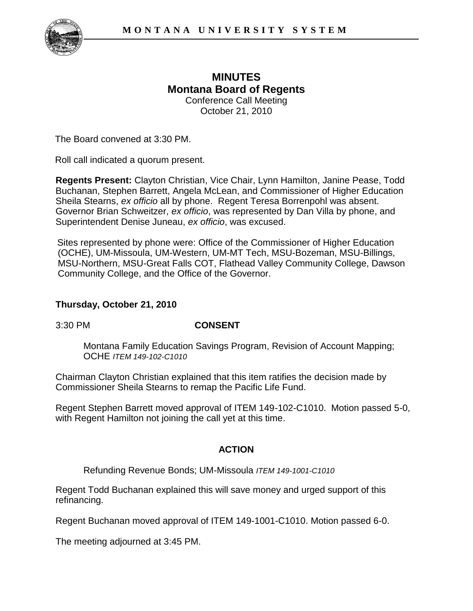

## **MINUTES Montana Board of Regents**  Conference Call Meeting October 21, 2010

The Board convened at 3:30 PM.

Roll call indicated a quorum present.

**Regents Present:** Clayton Christian, Vice Chair, Lynn Hamilton, Janine Pease, Todd Buchanan, Stephen Barrett, Angela McLean, and Commissioner of Higher Education Sheila Stearns, *ex officio* all by phone. Regent Teresa Borrenpohl was absent. Governor Brian Schweitzer, *ex officio*, was represented by Dan Villa by phone, and Superintendent Denise Juneau, *ex officio*, was excused.

Sites represented by phone were: Office of the Commissioner of Higher Education (OCHE), UM-Missoula, UM-Western, UM-MT Tech, MSU-Bozeman, MSU-Billings, MSU-Northern, MSU-Great Falls COT, Flathead Valley Community College, Dawson Community College, and the Office of the Governor.

## **Thursday, October 21, 2010**

## 3:30 PM **CONSENT**

Montana Family Education Savings Program, Revision of Account Mapping; OCHE *ITEM 149-102-C1010* 

Chairman Clayton Christian explained that this item ratifies the decision made by Commissioner Sheila Stearns to remap the Pacific Life Fund.

Regent Stephen Barrett moved approval of ITEM 149-102-C1010. Motion passed 5-0, with Regent Hamilton not joining the call yet at this time.

## **ACTION**

Refunding Revenue Bonds; UM-Missoula *ITEM 149-1001-C1010*

Regent Todd Buchanan explained this will save money and urged support of this refinancing.

Regent Buchanan moved approval of ITEM 149-1001-C1010. Motion passed 6-0.

The meeting adjourned at 3:45 PM.